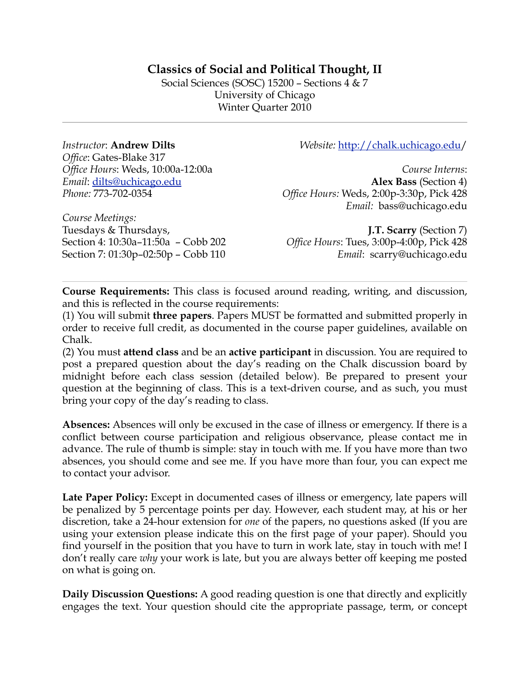# **Classics of Social and Political Thought, II**

Social Sciences (SOSC) 15200 – Sections 4 & 7 University of Chicago Winter Quarter 2010

*Instructor*: **Andrew Dilts** *Office*: Gates-Blake 317 *Office Hours*: Weds, 10:00a-12:00a *Email*: [dilts@uchicago.edu](mailto:dilts@uchicago.edu) *Phone:* 773-702-0354

*Website:* [http://chalk.uchicago.edu/](http://chalk.uchicago.edu)

*Course Interns*: **Alex Bass** (Section 4) *Office Hours:* Weds, 2:00p-3:30p, Pick 428 *Email:* bass@uchicago.edu

*Course Meetings:*  Tuesdays & Thursdays, Section 4: 10:30a–11:50a – Cobb 202 Section 7: 01:30p–02:50p – Cobb 110

**J.T. Scarry** (Section 7) *Office Hours*: Tues, 3:00p-4:00p, Pick 428 *Email*: scarry@uchicago.edu

**Course Requirements:** This class is focused around reading, writing, and discussion, and this is reflected in the course requirements:

(1) You will submit **three papers**. Papers MUST be formatted and submitted properly in order to receive full credit, as documented in the course paper guidelines, available on Chalk.

(2) You must **attend class** and be an **active participant** in discussion. You are required to post a prepared question about the day's reading on the Chalk discussion board by midnight before each class session (detailed below). Be prepared to present your question at the beginning of class. This is a text-driven course, and as such, you must bring your copy of the day's reading to class.

**Absences:** Absences will only be excused in the case of illness or emergency. If there is a conflict between course participation and religious observance, please contact me in advance. The rule of thumb is simple: stay in touch with me. If you have more than two absences, you should come and see me. If you have more than four, you can expect me to contact your advisor.

**Late Paper Policy:** Except in documented cases of illness or emergency, late papers will be penalized by 5 percentage points per day. However, each student may, at his or her discretion, take a 24-hour extension for *one* of the papers, no questions asked (If you are using your extension please indicate this on the first page of your paper). Should you find yourself in the position that you have to turn in work late, stay in touch with me! I don't really care *why* your work is late, but you are always better off keeping me posted on what is going on.

**Daily Discussion Questions:** A good reading question is one that directly and explicitly engages the text. Your question should cite the appropriate passage, term, or concept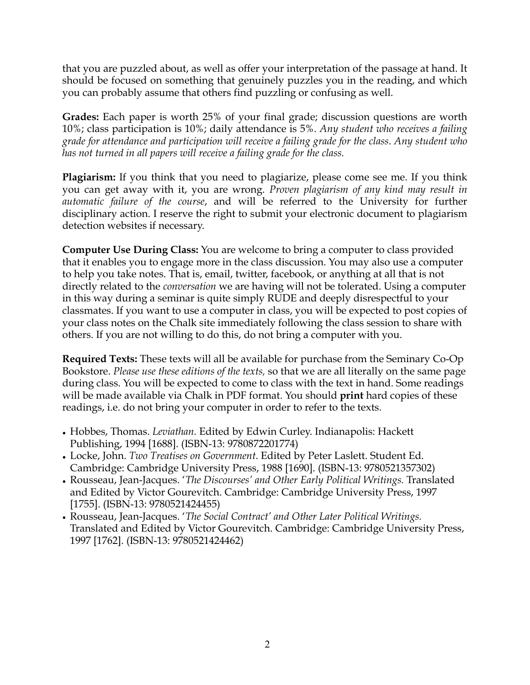that you are puzzled about, as well as offer your interpretation of the passage at hand. It should be focused on something that genuinely puzzles you in the reading, and which you can probably assume that others find puzzling or confusing as well.

**Grades:** Each paper is worth 25% of your final grade; discussion questions are worth 10%; class participation is 10%; daily attendance is 5%. *Any student who receives a failing grade for attendance and participation will receive a failing grade for the class*. *Any student who has not turned in all papers will receive a failing grade for the class.*

**Plagiarism:** If you think that you need to plagiarize, please come see me. If you think you can get away with it, you are wrong. *Proven plagiarism of any kind may result in automatic failure of the course*, and will be referred to the University for further disciplinary action. I reserve the right to submit your electronic document to plagiarism detection websites if necessary.

**Computer Use During Class:** You are welcome to bring a computer to class provided that it enables you to engage more in the class discussion. You may also use a computer to help you take notes. That is, email, twitter, facebook, or anything at all that is not directly related to the *conversation* we are having will not be tolerated. Using a computer in this way during a seminar is quite simply RUDE and deeply disrespectful to your classmates. If you want to use a computer in class, you will be expected to post copies of your class notes on the Chalk site immediately following the class session to share with others. If you are not willing to do this, do not bring a computer with you.

**Required Texts:** These texts will all be available for purchase from the Seminary Co-Op Bookstore. *Please use these editions of the texts,* so that we are all literally on the same page during class. You will be expected to come to class with the text in hand. Some readings will be made available via Chalk in PDF format. You should **print** hard copies of these readings, i.e. do not bring your computer in order to refer to the texts.

- Hobbes, Thomas. *Leviathan.* Edited by Edwin Curley. Indianapolis: Hackett Publishing, 1994 [1688]. (ISBN-13: 9780872201774)
- Locke, John. *Two Treatises on Government*. Edited by Peter Laslett. Student Ed. Cambridge: Cambridge University Press, 1988 [1690]. (ISBN-13: 9780521357302)
- Rousseau, Jean-Jacques. '*The Discourses' and Other Early Political Writings.* Translated and Edited by Victor Gourevitch. Cambridge: Cambridge University Press, 1997 [1755]. (ISBN-13: 9780521424455)
- Rousseau, Jean-Jacques. '*The Social Contract' and Other Later Political Writings.*  Translated and Edited by Victor Gourevitch. Cambridge: Cambridge University Press, 1997 [1762]. (ISBN-13: 9780521424462)